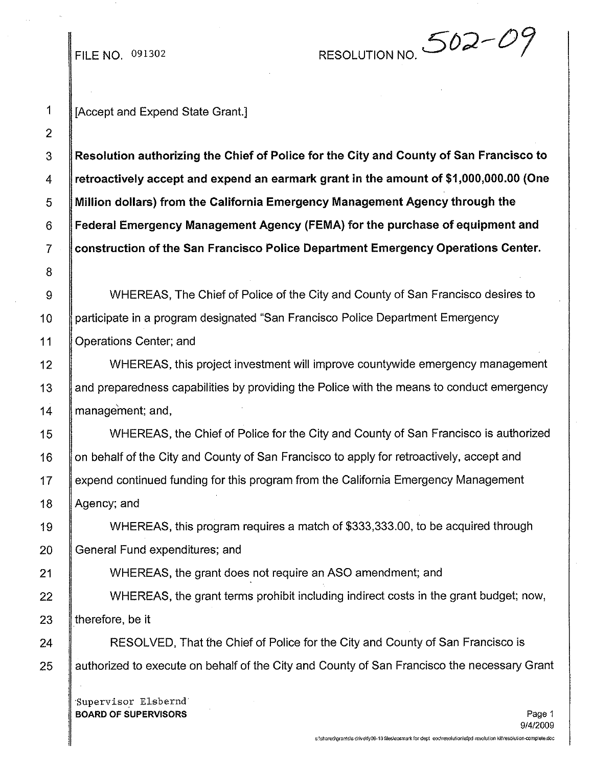## FILE NO. 091302

RESOLUTION NO.  $502 - 0$ 

2 8

1 || [Accept and Expend State Grant.]

 Resolution authorizing the Chief of Police for the City and County of San Francisco to 4 Fetroactively accept and expend an earmark grant in the amount of \$1,000,000.00 (One Million dollars) from the California Emergency Management Agency through the Federal Emergency Management Agency (FEMA) for the purchase of equipment and construction of the San Francisco Police Department Emergency Operations Center.

9 | WHEREAS, The Chief of Police of the City and County of San Francisco desires to 10 participate in a program designated "San Francisco Police Department Emergency 11 **Operations Center**; and

12 WHEREAS, this project investment will improve countywide emergency management 13 and preparedness capabilities by providing the Police with the means to conduct emergency 14 | management; and,

15 WHEREAS, the Chief of Police for the City and County of San Francisco is authorized 16 | on behalf of the City and County of San Francisco to apply for retroactively, accept and 17 expend continued funding for this program from the California Emergency Management 18 | Agency; and

19 WHEREAS, this program requires a match of \$333,333.00, to be acquired through 20 General Fund expenditures; and

21 **I** WHEREAS, the grant does not require an ASO amendment; and

22 WHEREAS, the grant terms prohibit including indirect costs in the grant budget; now, 23  $\parallel$  therefore, be it

24 **RESOLVED, That the Chief of Police for the City and County of San Francisco is** 25 Authorized to execute on behalf of the City and County of San Francisco the necessary Grant

'Supervisor Elsbernd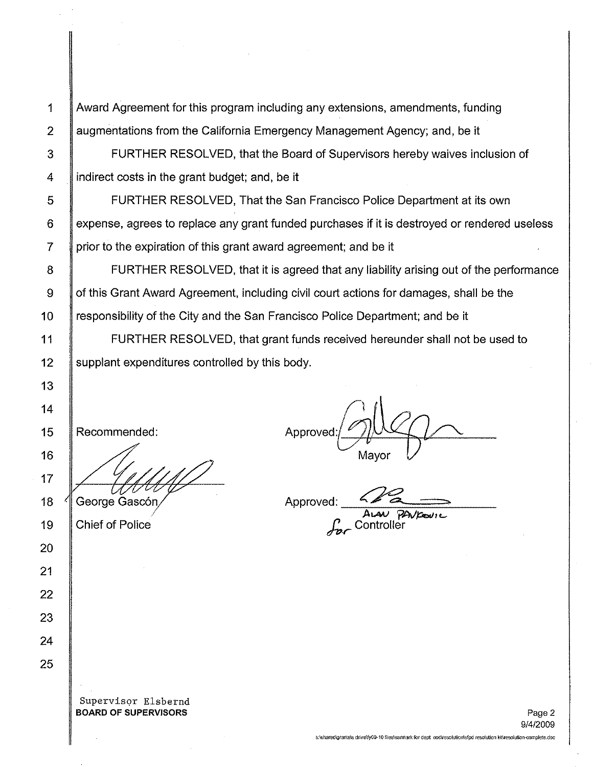1 Award Agreement for this program including any extensions, amendments, funding 2 augmentations from the California Emergency Management Agency; and, be it

3 **FURTHER RESOLVED, that the Board of Supervisors hereby waives inclusion of** 4  $\parallel$  indirect costs in the grant budget; and, be it

5 FURTHER RESOLVED, That the San Francisco Police Department at its own 6 expense, agrees to replace any grant funded purchases if it is destroyed or rendered useless  $7$  | prior to the expiration of this grant award agreement; and be it

8 **S** FURTHER RESOLVED, that it is agreed that any liability arising out of the performance 9 | of this Grant Award Agreement, including civil court actions for damages, shall be the 10 | responsibility of the City and the San Francisco Police Department; and be it

11 FURTHER RESOLVED, that grant funds received hereunder shall not be used to 12 | supplant expenditures controlled by this body.

Recommended:

George Gascón

Chief of Police

Approved: Mayor

Approved:

A*van PAVK*oure

Supervisor Elsbernd BOARD OF SUPERVISORS